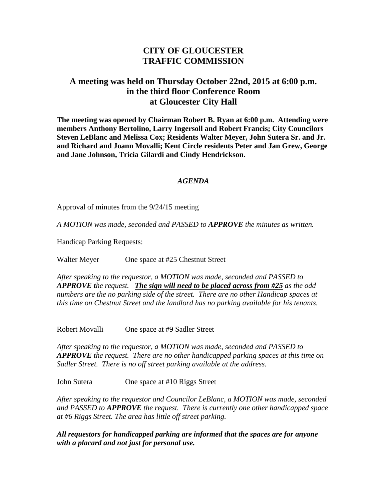# **CITY OF GLOUCESTER TRAFFIC COMMISSION**

## **A meeting was held on Thursday October 22nd, 2015 at 6:00 p.m. in the third floor Conference Room at Gloucester City Hall**

**The meeting was opened by Chairman Robert B. Ryan at 6:00 p.m. Attending were members Anthony Bertolino, Larry Ingersoll and Robert Francis; City Councilors Steven LeBlanc and Melissa Cox; Residents Walter Meyer, John Sutera Sr. and Jr. and Richard and Joann Movalli; Kent Circle residents Peter and Jan Grew, George and Jane Johnson, Tricia Gilardi and Cindy Hendrickson.**

#### *AGENDA*

Approval of minutes from the 9/24/15 meeting

*A MOTION was made, seconded and PASSED to APPROVE the minutes as written.*

Handicap Parking Requests:

Walter Meyer One space at #25 Chestnut Street

*After speaking to the requestor, a MOTION was made, seconded and PASSED to APPROVE the request. The sign will need to be placed across from #25 as the odd numbers are the no parking side of the street. There are no other Handicap spaces at this time on Chestnut Street and the landlord has no parking available for his tenants.*

Robert Movalli One space at #9 Sadler Street

*After speaking to the requestor, a MOTION was made, seconded and PASSED to APPROVE the request. There are no other handicapped parking spaces at this time on Sadler Street. There is no off street parking available at the address.*

John Sutera One space at #10 Riggs Street

*After speaking to the requestor and Councilor LeBlanc, a MOTION was made, seconded and PASSED to APPROVE the request. There is currently one other handicapped space at #6 Riggs Street. The area has little off street parking.*

*All requestors for handicapped parking are informed that the spaces are for anyone with a placard and not just for personal use.*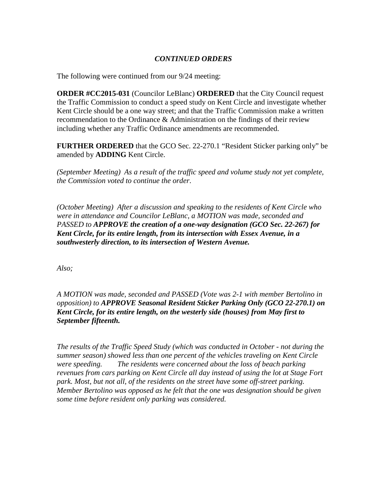### *CONTINUED ORDERS*

The following were continued from our 9/24 meeting:

**ORDER #CC2015-031** (Councilor LeBlanc) **ORDERED** that the City Council request the Traffic Commission to conduct a speed study on Kent Circle and investigate whether Kent Circle should be a one way street; and that the Traffic Commission make a written recommendation to the Ordinance & Administration on the findings of their review including whether any Traffic Ordinance amendments are recommended.

**FURTHER ORDERED** that the GCO Sec. 22-270.1 "Resident Sticker parking only" be amended by **ADDING** Kent Circle.

*(September Meeting) As a result of the traffic speed and volume study not yet complete, the Commission voted to continue the order*.

*(October Meeting) After a discussion and speaking to the residents of Kent Circle who were in attendance and Councilor LeBlanc, a MOTION was made, seconded and PASSED to APPROVE the creation of a one-way designation (GCO Sec. 22-267) for Kent Circle, for its entire length, from its intersection with Essex Avenue, in a southwesterly direction, to its intersection of Western Avenue.* 

*Also;*

### *A MOTION was made, seconded and PASSED (Vote was 2-1 with member Bertolino in opposition) to APPROVE Seasonal Resident Sticker Parking Only (GCO 22-270.1) on Kent Circle, for its entire length, on the westerly side (houses) from May first to September fifteenth.*

*The results of the Traffic Speed Study (which was conducted in October - not during the summer season) showed less than one percent of the vehicles traveling on Kent Circle were speeding. The residents were concerned about the loss of beach parking revenues from cars parking on Kent Circle all day instead of using the lot at Stage Fort park. Most, but not all, of the residents on the street have some off-street parking. Member Bertolino was opposed as he felt that the one was designation should be given some time before resident only parking was considered.*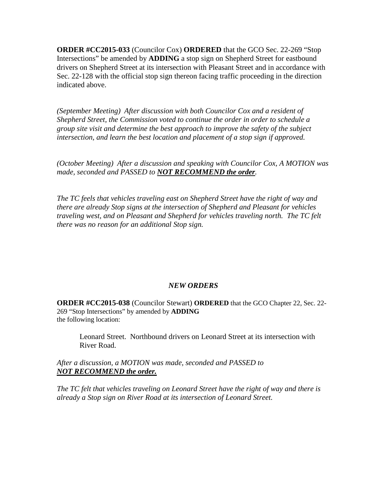**ORDER #CC2015-033** (Councilor Cox) **ORDERED** that the GCO Sec. 22-269 "Stop Intersections" be amended by **ADDING** a stop sign on Shepherd Street for eastbound drivers on Shepherd Street at its intersection with Pleasant Street and in accordance with Sec. 22-128 with the official stop sign thereon facing traffic proceeding in the direction indicated above.

*(September Meeting) After discussion with both Councilor Cox and a resident of Shepherd Street, the Commission voted to continue the order in order to schedule a group site visit and determine the best approach to improve the safety of the subject intersection, and learn the best location and placement of a stop sign if approved.*

*(October Meeting) After a discussion and speaking with Councilor Cox, A MOTION was made, seconded and PASSED to NOT RECOMMEND the order.*

*The TC feels that vehicles traveling east on Shepherd Street have the right of way and there are already Stop signs at the intersection of Shepherd and Pleasant for vehicles traveling west, and on Pleasant and Shepherd for vehicles traveling north. The TC felt there was no reason for an additional Stop sign.*

#### *NEW ORDERS*

**ORDER #CC2015-038** (Councilor Stewart) **ORDERED** that the GCO Chapter 22, Sec. 22- 269 "Stop Intersections" by amended by **ADDING** the following location:

Leonard Street. Northbound drivers on Leonard Street at its intersection with River Road.

*After a discussion, a MOTION was made, seconded and PASSED to NOT RECOMMEND the order.*

*The TC felt that vehicles traveling on Leonard Street have the right of way and there is already a Stop sign on River Road at its intersection of Leonard Street.*